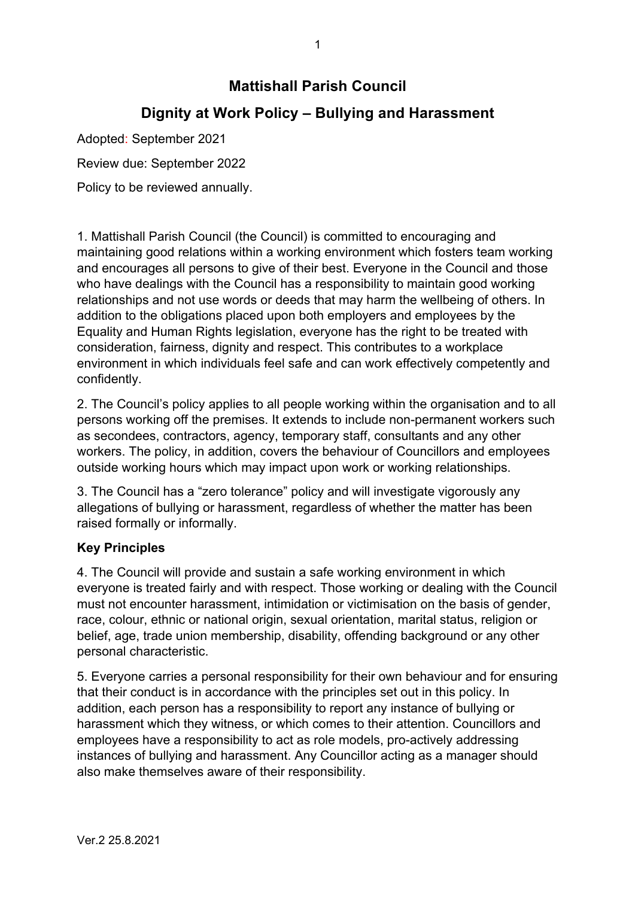# **Mattishall Parish Council**

# **Dignity at Work Policy – Bullying and Harassment**

Adopted: September 2021

Review due: September 2022

Policy to be reviewed annually.

1. Mattishall Parish Council (the Council) is committed to encouraging and maintaining good relations within a working environment which fosters team working and encourages all persons to give of their best. Everyone in the Council and those who have dealings with the Council has a responsibility to maintain good working relationships and not use words or deeds that may harm the wellbeing of others. In addition to the obligations placed upon both employers and employees by the Equality and Human Rights legislation, everyone has the right to be treated with consideration, fairness, dignity and respect. This contributes to a workplace environment in which individuals feel safe and can work effectively competently and confidently.

2. The Council's policy applies to all people working within the organisation and to all persons working off the premises. It extends to include non-permanent workers such as secondees, contractors, agency, temporary staff, consultants and any other workers. The policy, in addition, covers the behaviour of Councillors and employees outside working hours which may impact upon work or working relationships.

3. The Council has a "zero tolerance" policy and will investigate vigorously any allegations of bullying or harassment, regardless of whether the matter has been raised formally or informally.

# **Key Principles**

4. The Council will provide and sustain a safe working environment in which everyone is treated fairly and with respect. Those working or dealing with the Council must not encounter harassment, intimidation or victimisation on the basis of gender, race, colour, ethnic or national origin, sexual orientation, marital status, religion or belief, age, trade union membership, disability, offending background or any other personal characteristic.

5. Everyone carries a personal responsibility for their own behaviour and for ensuring that their conduct is in accordance with the principles set out in this policy. In addition, each person has a responsibility to report any instance of bullying or harassment which they witness, or which comes to their attention. Councillors and employees have a responsibility to act as role models, pro-actively addressing instances of bullying and harassment. Any Councillor acting as a manager should also make themselves aware of their responsibility.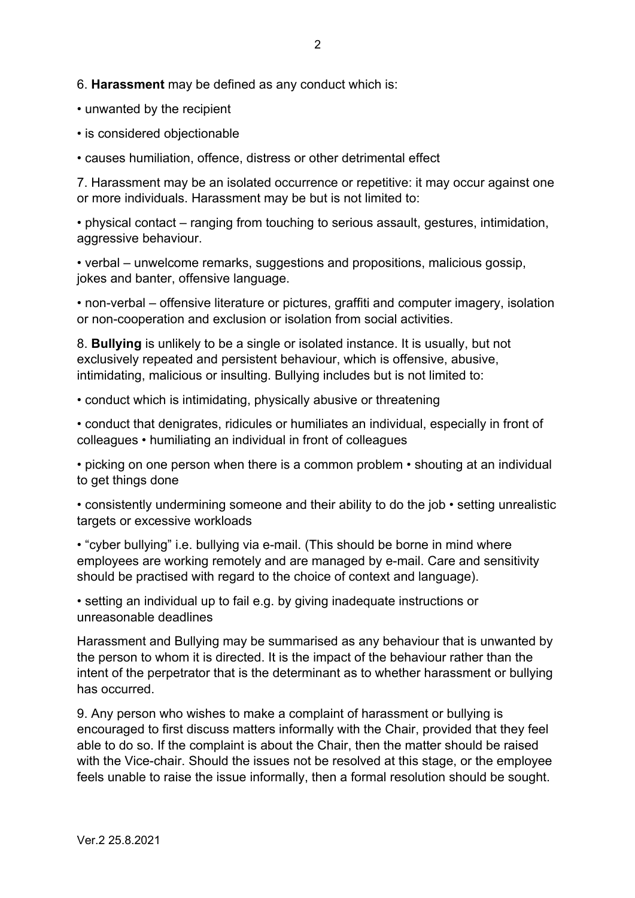6. **Harassment** may be defined as any conduct which is:

• unwanted by the recipient

• is considered objectionable

• causes humiliation, offence, distress or other detrimental effect

7. Harassment may be an isolated occurrence or repetitive: it may occur against one or more individuals. Harassment may be but is not limited to:

• physical contact – ranging from touching to serious assault, gestures, intimidation, aggressive behaviour.

• verbal – unwelcome remarks, suggestions and propositions, malicious gossip, jokes and banter, offensive language.

• non-verbal – offensive literature or pictures, graffiti and computer imagery, isolation or non-cooperation and exclusion or isolation from social activities.

8. **Bullying** is unlikely to be a single or isolated instance. It is usually, but not exclusively repeated and persistent behaviour, which is offensive, abusive, intimidating, malicious or insulting. Bullying includes but is not limited to:

• conduct which is intimidating, physically abusive or threatening

• conduct that denigrates, ridicules or humiliates an individual, especially in front of colleagues • humiliating an individual in front of colleagues

• picking on one person when there is a common problem • shouting at an individual to get things done

• consistently undermining someone and their ability to do the job • setting unrealistic targets or excessive workloads

• "cyber bullying" i.e. bullying via e-mail. (This should be borne in mind where employees are working remotely and are managed by e-mail. Care and sensitivity should be practised with regard to the choice of context and language).

• setting an individual up to fail e.g. by giving inadequate instructions or unreasonable deadlines

Harassment and Bullying may be summarised as any behaviour that is unwanted by the person to whom it is directed. It is the impact of the behaviour rather than the intent of the perpetrator that is the determinant as to whether harassment or bullying has occurred.

9. Any person who wishes to make a complaint of harassment or bullying is encouraged to first discuss matters informally with the Chair, provided that they feel able to do so. If the complaint is about the Chair, then the matter should be raised with the Vice-chair. Should the issues not be resolved at this stage, or the employee feels unable to raise the issue informally, then a formal resolution should be sought.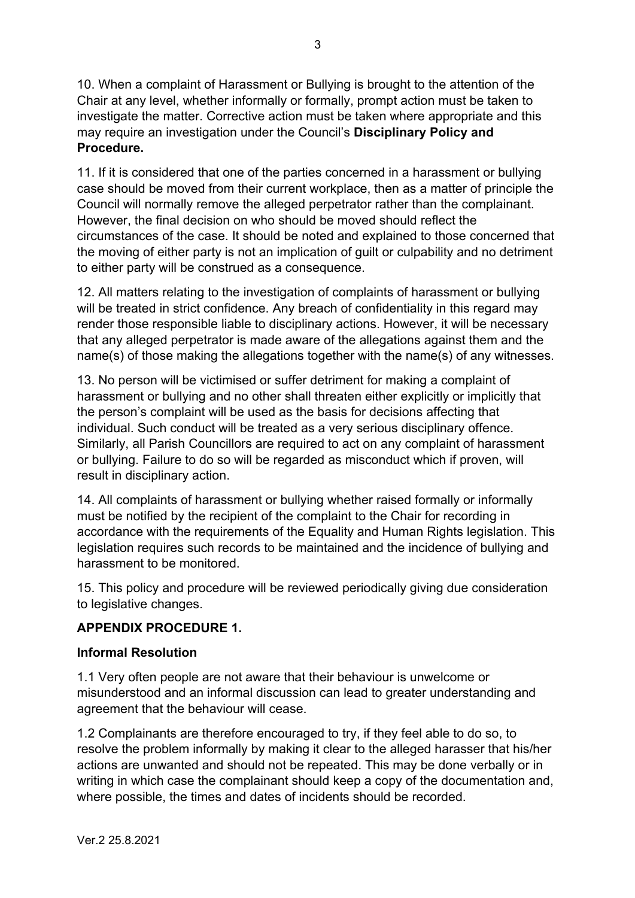10. When a complaint of Harassment or Bullying is brought to the attention of the Chair at any level, whether informally or formally, prompt action must be taken to investigate the matter. Corrective action must be taken where appropriate and this may require an investigation under the Council's **Disciplinary Policy and Procedure.**

11. If it is considered that one of the parties concerned in a harassment or bullying case should be moved from their current workplace, then as a matter of principle the Council will normally remove the alleged perpetrator rather than the complainant. However, the final decision on who should be moved should reflect the circumstances of the case. It should be noted and explained to those concerned that the moving of either party is not an implication of guilt or culpability and no detriment to either party will be construed as a consequence.

12. All matters relating to the investigation of complaints of harassment or bullying will be treated in strict confidence. Any breach of confidentiality in this regard may render those responsible liable to disciplinary actions. However, it will be necessary that any alleged perpetrator is made aware of the allegations against them and the name(s) of those making the allegations together with the name(s) of any witnesses.

13. No person will be victimised or suffer detriment for making a complaint of harassment or bullying and no other shall threaten either explicitly or implicitly that the person's complaint will be used as the basis for decisions affecting that individual. Such conduct will be treated as a very serious disciplinary offence. Similarly, all Parish Councillors are required to act on any complaint of harassment or bullying. Failure to do so will be regarded as misconduct which if proven, will result in disciplinary action.

14. All complaints of harassment or bullying whether raised formally or informally must be notified by the recipient of the complaint to the Chair for recording in accordance with the requirements of the Equality and Human Rights legislation. This legislation requires such records to be maintained and the incidence of bullying and harassment to be monitored.

15. This policy and procedure will be reviewed periodically giving due consideration to legislative changes.

# **APPENDIX PROCEDURE 1.**

# **Informal Resolution**

1.1 Very often people are not aware that their behaviour is unwelcome or misunderstood and an informal discussion can lead to greater understanding and agreement that the behaviour will cease.

1.2 Complainants are therefore encouraged to try, if they feel able to do so, to resolve the problem informally by making it clear to the alleged harasser that his/her actions are unwanted and should not be repeated. This may be done verbally or in writing in which case the complainant should keep a copy of the documentation and, where possible, the times and dates of incidents should be recorded.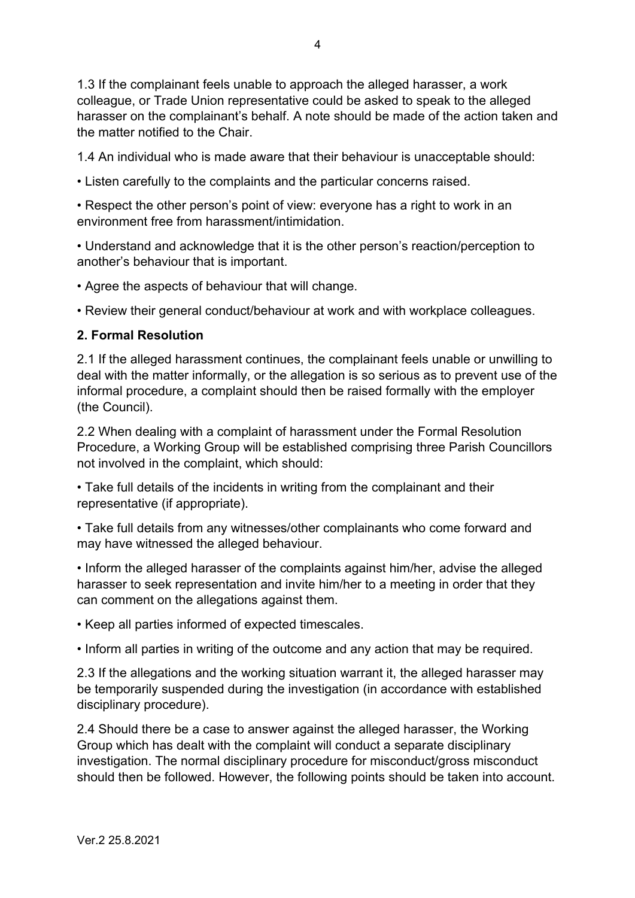1.3 If the complainant feels unable to approach the alleged harasser, a work colleague, or Trade Union representative could be asked to speak to the alleged harasser on the complainant's behalf. A note should be made of the action taken and the matter notified to the Chair.

1.4 An individual who is made aware that their behaviour is unacceptable should:

• Listen carefully to the complaints and the particular concerns raised.

• Respect the other person's point of view: everyone has a right to work in an environment free from harassment/intimidation.

• Understand and acknowledge that it is the other person's reaction/perception to another's behaviour that is important.

• Agree the aspects of behaviour that will change.

• Review their general conduct/behaviour at work and with workplace colleagues.

#### **2. Formal Resolution**

2.1 If the alleged harassment continues, the complainant feels unable or unwilling to deal with the matter informally, or the allegation is so serious as to prevent use of the informal procedure, a complaint should then be raised formally with the employer (the Council).

2.2 When dealing with a complaint of harassment under the Formal Resolution Procedure, a Working Group will be established comprising three Parish Councillors not involved in the complaint, which should:

• Take full details of the incidents in writing from the complainant and their representative (if appropriate).

• Take full details from any witnesses/other complainants who come forward and may have witnessed the alleged behaviour.

• Inform the alleged harasser of the complaints against him/her, advise the alleged harasser to seek representation and invite him/her to a meeting in order that they can comment on the allegations against them.

• Keep all parties informed of expected timescales.

• Inform all parties in writing of the outcome and any action that may be required.

2.3 If the allegations and the working situation warrant it, the alleged harasser may be temporarily suspended during the investigation (in accordance with established disciplinary procedure).

2.4 Should there be a case to answer against the alleged harasser, the Working Group which has dealt with the complaint will conduct a separate disciplinary investigation. The normal disciplinary procedure for misconduct/gross misconduct should then be followed. However, the following points should be taken into account.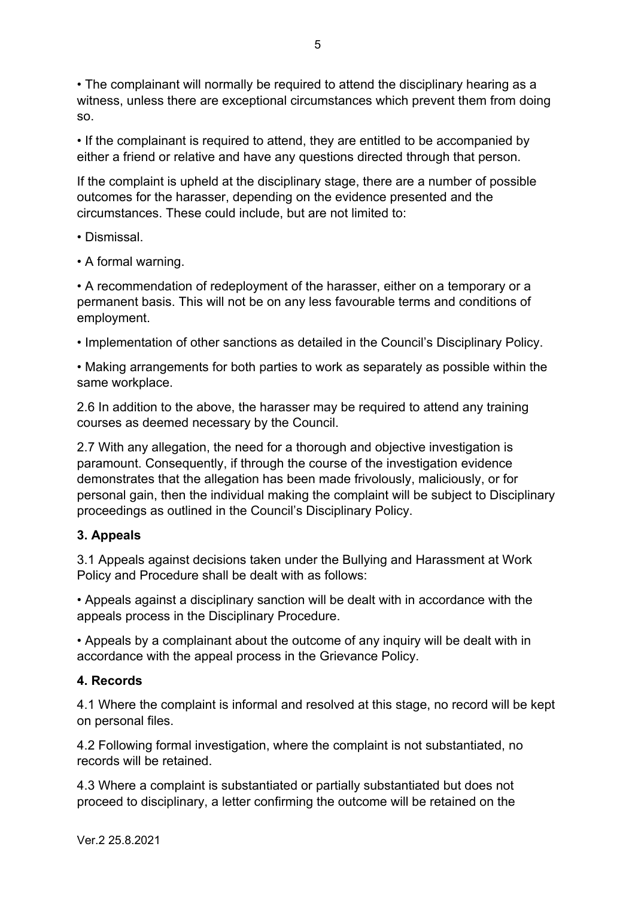• The complainant will normally be required to attend the disciplinary hearing as a witness, unless there are exceptional circumstances which prevent them from doing so.

• If the complainant is required to attend, they are entitled to be accompanied by either a friend or relative and have any questions directed through that person.

If the complaint is upheld at the disciplinary stage, there are a number of possible outcomes for the harasser, depending on the evidence presented and the circumstances. These could include, but are not limited to:

- Dismissal.
- A formal warning.

• A recommendation of redeployment of the harasser, either on a temporary or a permanent basis. This will not be on any less favourable terms and conditions of employment.

• Implementation of other sanctions as detailed in the Council's Disciplinary Policy.

• Making arrangements for both parties to work as separately as possible within the same workplace.

2.6 In addition to the above, the harasser may be required to attend any training courses as deemed necessary by the Council.

2.7 With any allegation, the need for a thorough and objective investigation is paramount. Consequently, if through the course of the investigation evidence demonstrates that the allegation has been made frivolously, maliciously, or for personal gain, then the individual making the complaint will be subject to Disciplinary proceedings as outlined in the Council's Disciplinary Policy.

# **3. Appeals**

3.1 Appeals against decisions taken under the Bullying and Harassment at Work Policy and Procedure shall be dealt with as follows:

• Appeals against a disciplinary sanction will be dealt with in accordance with the appeals process in the Disciplinary Procedure.

• Appeals by a complainant about the outcome of any inquiry will be dealt with in accordance with the appeal process in the Grievance Policy.

#### **4. Records**

4.1 Where the complaint is informal and resolved at this stage, no record will be kept on personal files.

4.2 Following formal investigation, where the complaint is not substantiated, no records will be retained.

4.3 Where a complaint is substantiated or partially substantiated but does not proceed to disciplinary, a letter confirming the outcome will be retained on the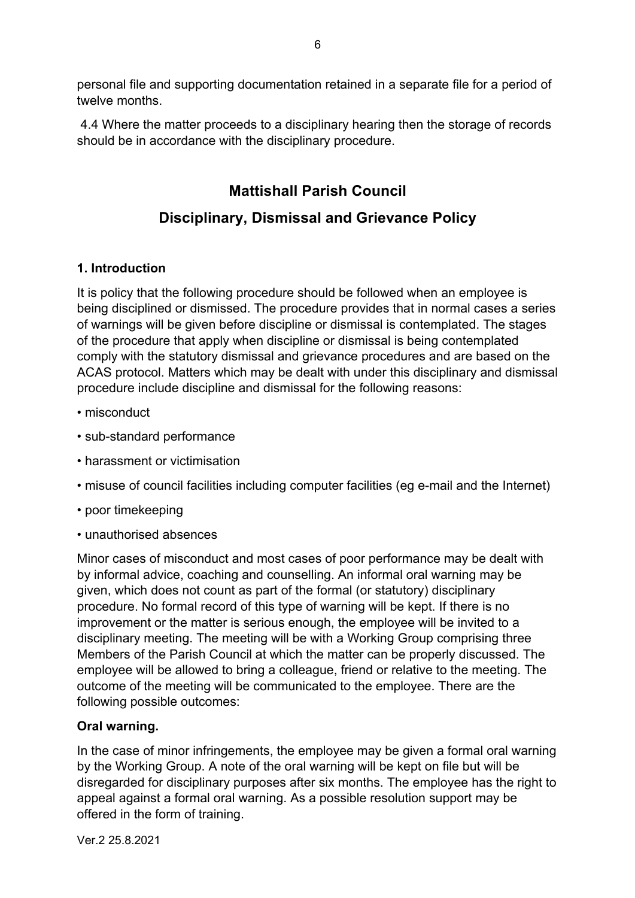personal file and supporting documentation retained in a separate file for a period of twelve months.

4.4 Where the matter proceeds to a disciplinary hearing then the storage of records should be in accordance with the disciplinary procedure.

# **Mattishall Parish Council**

# **Disciplinary, Dismissal and Grievance Policy**

# **1. Introduction**

It is policy that the following procedure should be followed when an employee is being disciplined or dismissed. The procedure provides that in normal cases a series of warnings will be given before discipline or dismissal is contemplated. The stages of the procedure that apply when discipline or dismissal is being contemplated comply with the statutory dismissal and grievance procedures and are based on the ACAS protocol. Matters which may be dealt with under this disciplinary and dismissal procedure include discipline and dismissal for the following reasons:

- misconduct
- sub-standard performance
- harassment or victimisation
- misuse of council facilities including computer facilities (eg e-mail and the Internet)
- poor timekeeping
- unauthorised absences

Minor cases of misconduct and most cases of poor performance may be dealt with by informal advice, coaching and counselling. An informal oral warning may be given, which does not count as part of the formal (or statutory) disciplinary procedure. No formal record of this type of warning will be kept. If there is no improvement or the matter is serious enough, the employee will be invited to a disciplinary meeting. The meeting will be with a Working Group comprising three Members of the Parish Council at which the matter can be properly discussed. The employee will be allowed to bring a colleague, friend or relative to the meeting. The outcome of the meeting will be communicated to the employee. There are the following possible outcomes:

# **Oral warning.**

In the case of minor infringements, the employee may be given a formal oral warning by the Working Group. A note of the oral warning will be kept on file but will be disregarded for disciplinary purposes after six months. The employee has the right to appeal against a formal oral warning. As a possible resolution support may be offered in the form of training.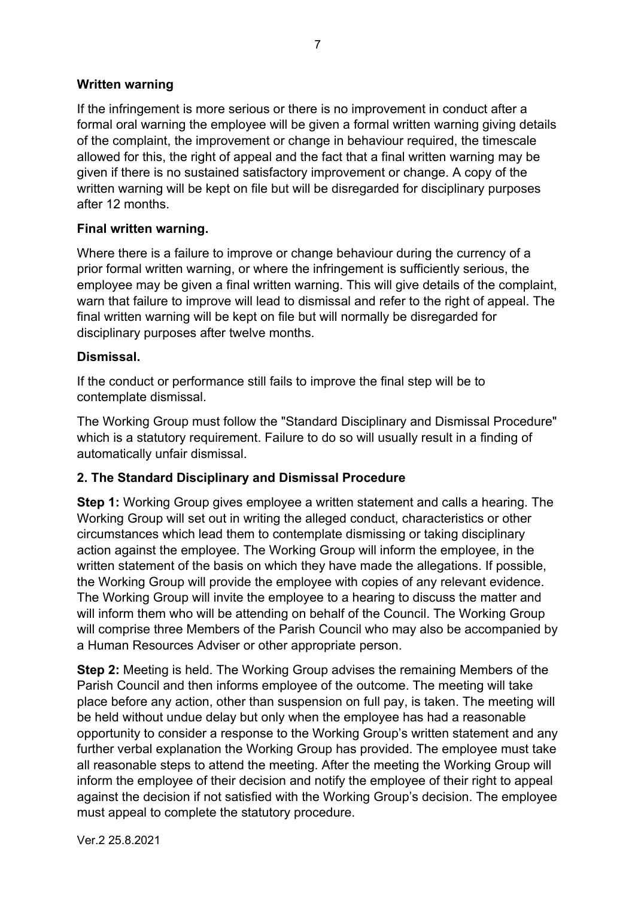#### **Written warning**

If the infringement is more serious or there is no improvement in conduct after a formal oral warning the employee will be given a formal written warning giving details of the complaint, the improvement or change in behaviour required, the timescale allowed for this, the right of appeal and the fact that a final written warning may be given if there is no sustained satisfactory improvement or change. A copy of the written warning will be kept on file but will be disregarded for disciplinary purposes after 12 months.

#### **Final written warning.**

Where there is a failure to improve or change behaviour during the currency of a prior formal written warning, or where the infringement is sufficiently serious, the employee may be given a final written warning. This will give details of the complaint, warn that failure to improve will lead to dismissal and refer to the right of appeal. The final written warning will be kept on file but will normally be disregarded for disciplinary purposes after twelve months.

#### **Dismissal.**

If the conduct or performance still fails to improve the final step will be to contemplate dismissal.

The Working Group must follow the "Standard Disciplinary and Dismissal Procedure" which is a statutory requirement. Failure to do so will usually result in a finding of automatically unfair dismissal.

# **2. The Standard Disciplinary and Dismissal Procedure**

**Step 1:** Working Group gives employee a written statement and calls a hearing. The Working Group will set out in writing the alleged conduct, characteristics or other circumstances which lead them to contemplate dismissing or taking disciplinary action against the employee. The Working Group will inform the employee, in the written statement of the basis on which they have made the allegations. If possible, the Working Group will provide the employee with copies of any relevant evidence. The Working Group will invite the employee to a hearing to discuss the matter and will inform them who will be attending on behalf of the Council. The Working Group will comprise three Members of the Parish Council who may also be accompanied by a Human Resources Adviser or other appropriate person.

**Step 2:** Meeting is held. The Working Group advises the remaining Members of the Parish Council and then informs employee of the outcome. The meeting will take place before any action, other than suspension on full pay, is taken. The meeting will be held without undue delay but only when the employee has had a reasonable opportunity to consider a response to the Working Group's written statement and any further verbal explanation the Working Group has provided. The employee must take all reasonable steps to attend the meeting. After the meeting the Working Group will inform the employee of their decision and notify the employee of their right to appeal against the decision if not satisfied with the Working Group's decision. The employee must appeal to complete the statutory procedure.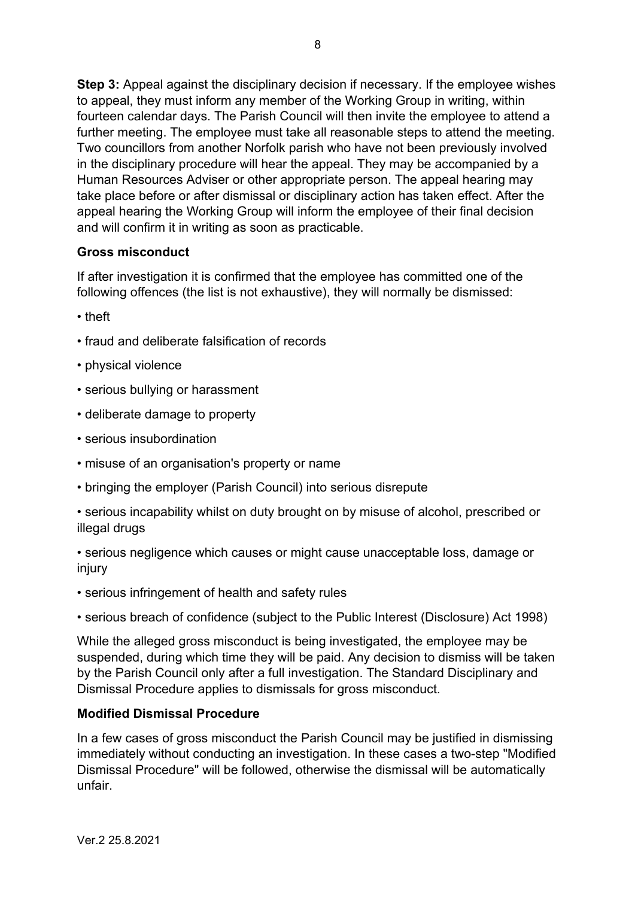**Step 3:** Appeal against the disciplinary decision if necessary. If the employee wishes to appeal, they must inform any member of the Working Group in writing, within fourteen calendar days. The Parish Council will then invite the employee to attend a further meeting. The employee must take all reasonable steps to attend the meeting. Two councillors from another Norfolk parish who have not been previously involved in the disciplinary procedure will hear the appeal. They may be accompanied by a Human Resources Adviser or other appropriate person. The appeal hearing may take place before or after dismissal or disciplinary action has taken effect. After the appeal hearing the Working Group will inform the employee of their final decision and will confirm it in writing as soon as practicable.

#### **Gross misconduct**

If after investigation it is confirmed that the employee has committed one of the following offences (the list is not exhaustive), they will normally be dismissed:

- theft
- fraud and deliberate falsification of records
- physical violence
- serious bullying or harassment
- deliberate damage to property
- serious insubordination
- misuse of an organisation's property or name
- bringing the employer (Parish Council) into serious disrepute
- serious incapability whilst on duty brought on by misuse of alcohol, prescribed or illegal drugs
- serious negligence which causes or might cause unacceptable loss, damage or injury
- serious infringement of health and safety rules
- serious breach of confidence (subject to the Public Interest (Disclosure) Act 1998)

While the alleged gross misconduct is being investigated, the employee may be suspended, during which time they will be paid. Any decision to dismiss will be taken by the Parish Council only after a full investigation. The Standard Disciplinary and Dismissal Procedure applies to dismissals for gross misconduct.

#### **Modified Dismissal Procedure**

In a few cases of gross misconduct the Parish Council may be justified in dismissing immediately without conducting an investigation. In these cases a two-step "Modified Dismissal Procedure" will be followed, otherwise the dismissal will be automatically unfair.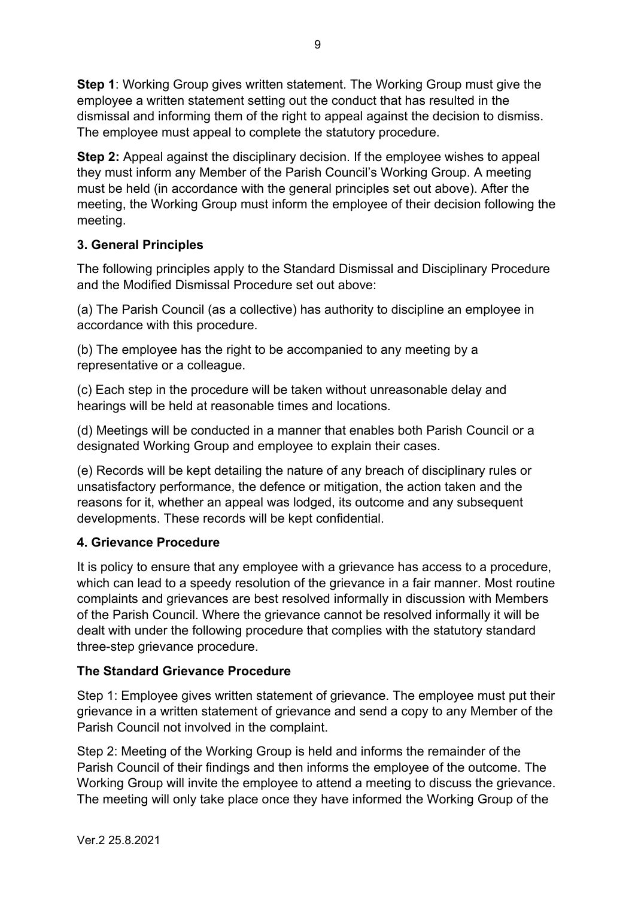**Step 1**: Working Group gives written statement. The Working Group must give the employee a written statement setting out the conduct that has resulted in the dismissal and informing them of the right to appeal against the decision to dismiss. The employee must appeal to complete the statutory procedure.

**Step 2:** Appeal against the disciplinary decision. If the employee wishes to appeal they must inform any Member of the Parish Council's Working Group. A meeting must be held (in accordance with the general principles set out above). After the meeting, the Working Group must inform the employee of their decision following the meeting.

# **3. General Principles**

The following principles apply to the Standard Dismissal and Disciplinary Procedure and the Modified Dismissal Procedure set out above:

(a) The Parish Council (as a collective) has authority to discipline an employee in accordance with this procedure.

(b) The employee has the right to be accompanied to any meeting by a representative or a colleague.

(c) Each step in the procedure will be taken without unreasonable delay and hearings will be held at reasonable times and locations.

(d) Meetings will be conducted in a manner that enables both Parish Council or a designated Working Group and employee to explain their cases.

(e) Records will be kept detailing the nature of any breach of disciplinary rules or unsatisfactory performance, the defence or mitigation, the action taken and the reasons for it, whether an appeal was lodged, its outcome and any subsequent developments. These records will be kept confidential.

# **4. Grievance Procedure**

It is policy to ensure that any employee with a grievance has access to a procedure, which can lead to a speedy resolution of the grievance in a fair manner. Most routine complaints and grievances are best resolved informally in discussion with Members of the Parish Council. Where the grievance cannot be resolved informally it will be dealt with under the following procedure that complies with the statutory standard three-step grievance procedure.

# **The Standard Grievance Procedure**

Step 1: Employee gives written statement of grievance. The employee must put their grievance in a written statement of grievance and send a copy to any Member of the Parish Council not involved in the complaint.

Step 2: Meeting of the Working Group is held and informs the remainder of the Parish Council of their findings and then informs the employee of the outcome. The Working Group will invite the employee to attend a meeting to discuss the grievance. The meeting will only take place once they have informed the Working Group of the